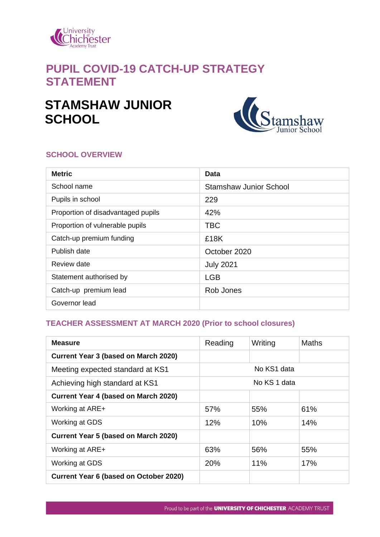

# **PUPIL COVID-19 CATCH-UP STRATEGY STATEMENT**

# **STAMSHAW JUNIOR SCHOOL**



#### **SCHOOL OVERVIEW**

| <b>Metric</b>                      | Data                          |
|------------------------------------|-------------------------------|
| School name                        | <b>Stamshaw Junior School</b> |
| Pupils in school                   | 229                           |
| Proportion of disadvantaged pupils | 42%                           |
| Proportion of vulnerable pupils    | <b>TBC</b>                    |
| Catch-up premium funding           | £18K                          |
| Publish date                       | October 2020                  |
| Review date                        | <b>July 2021</b>              |
| Statement authorised by            | <b>LGB</b>                    |
| Catch-up premium lead              | Rob Jones                     |
| Governor lead                      |                               |

### **TEACHER ASSESSMENT AT MARCH 2020 (Prior to school closures)**

| <b>Measure</b>                                | Reading | Writing      | <b>Maths</b> |
|-----------------------------------------------|---------|--------------|--------------|
| Current Year 3 (based on March 2020)          |         |              |              |
| Meeting expected standard at KS1              |         | No KS1 data  |              |
| Achieving high standard at KS1                |         | No KS 1 data |              |
| <b>Current Year 4 (based on March 2020)</b>   |         |              |              |
| Working at ARE+                               | 57%     | 55%          | 61%          |
| Working at GDS                                | 12%     | 10%          | 14%          |
| <b>Current Year 5 (based on March 2020)</b>   |         |              |              |
| Working at ARE+                               | 63%     | 56%          | 55%          |
| Working at GDS                                | 20%     | 11%          | 17%          |
| <b>Current Year 6 (based on October 2020)</b> |         |              |              |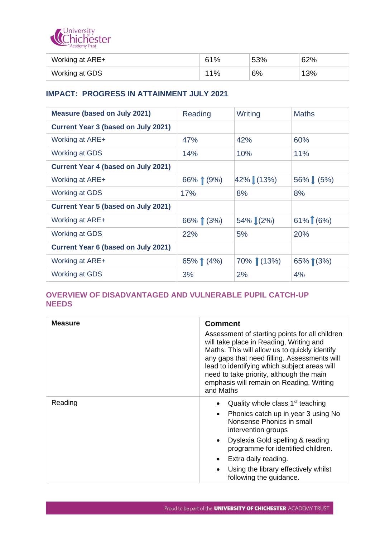

| Working at ARE+ | 61% | 53% | 62% |
|-----------------|-----|-----|-----|
| Working at GDS  | 11% | 6%  | 13% |

#### **IMPACT: PROGRESS IN ATTAINMENT JULY 2021**

| <b>Measure (based on July 2021)</b>        | Reading    | Writing      | <b>Maths</b> |
|--------------------------------------------|------------|--------------|--------------|
| <b>Current Year 3 (based on July 2021)</b> |            |              |              |
| Working at ARE+                            | 47%        | 42%          | 60%          |
| <b>Working at GDS</b>                      | 14%        | 10%          | 11%          |
| <b>Current Year 4 (based on July 2021)</b> |            |              |              |
| Working at ARE+                            | 66% $(9%)$ | 42% (13%)    | 56% (5%)     |
| <b>Working at GDS</b>                      | 17%        | 8%           | 8%           |
| <b>Current Year 5 (based on July 2021)</b> |            |              |              |
| Working at ARE+                            | 66% (3%)   | 54% (2%)     | $61\%$ (6%)  |
| <b>Working at GDS</b>                      | 22%        | 5%           | 20%          |
| <b>Current Year 6 (based on July 2021)</b> |            |              |              |
| Working at ARE+                            | 65% $(4%)$ | $70\%$ (13%) | $65\%$ (3%)  |
| <b>Working at GDS</b>                      | 3%         | 2%           | 4%           |

#### **OVERVIEW OF DISADVANTAGED AND VULNERABLE PUPIL CATCH-UP NEEDS**

| <b>Measure</b> | <b>Comment</b><br>Assessment of starting points for all children<br>will take place in Reading, Writing and<br>Maths. This will allow us to quickly identify<br>any gaps that need filling. Assessments will<br>lead to identifying which subject areas will<br>need to take priority, although the main<br>emphasis will remain on Reading, Writing<br>and Maths |
|----------------|-------------------------------------------------------------------------------------------------------------------------------------------------------------------------------------------------------------------------------------------------------------------------------------------------------------------------------------------------------------------|
| Reading        | Quality whole class 1 <sup>st</sup> teaching<br>$\bullet$<br>Phonics catch up in year 3 using No<br>$\bullet$<br>Nonsense Phonics in small<br>intervention groups                                                                                                                                                                                                 |
|                | Dyslexia Gold spelling & reading<br>$\bullet$<br>programme for identified children.<br>Extra daily reading.<br>$\bullet$<br>Using the library effectively whilst<br>$\bullet$<br>following the guidance.                                                                                                                                                          |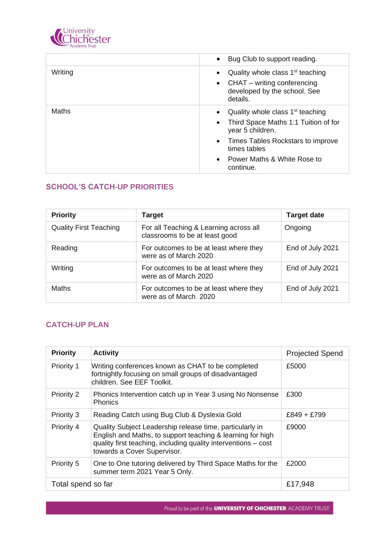

|         | Bug Club to support reading.<br>$\bullet$                                                                                                         |
|---------|---------------------------------------------------------------------------------------------------------------------------------------------------|
| Writing | Quality whole class 1 <sup>st</sup> teaching<br>$\bullet$<br>CHAT – writing conferencing<br>$\bullet$<br>developed by the school. See<br>details. |
| Maths   | Quality whole class $1st$ teaching<br>$\bullet$<br>Third Space Maths 1:1 Tuition of for<br>$\bullet$<br>year 5 children.                          |
|         | Times Tables Rockstars to improve<br>$\bullet$<br>times tables                                                                                    |
|         | Power Maths & White Rose to<br>$\bullet$<br>continue.                                                                                             |

# **SCHOOL'S CATCH-UP PRIORITIES**

| <b>Priority</b>               | <b>Target</b>                                                            | <b>Target date</b> |
|-------------------------------|--------------------------------------------------------------------------|--------------------|
| <b>Quality First Teaching</b> | For all Teaching & Learning across all<br>classrooms to be at least good | Ongoing            |
| Reading                       | For outcomes to be at least where they<br>were as of March 2020          | End of July 2021   |
| Writing                       | For outcomes to be at least where they<br>were as of March 2020          | End of July 2021   |
| Maths                         | For outcomes to be at least where they<br>were as of March 2020          | End of July 2021   |

## **CATCH-UP PLAN**

| <b>Priority</b>    | <b>Activity</b>                                                                                                                                                                                                         | <b>Projected Spend</b> |
|--------------------|-------------------------------------------------------------------------------------------------------------------------------------------------------------------------------------------------------------------------|------------------------|
| Priority 1         | Writing conferences known as CHAT to be completed<br>fortnightly focusing on small groups of disadvantaged<br>children. See EEF Toolkit.                                                                                | £5000                  |
| Priority 2         | Phonics Intervention catch up in Year 3 using No Nonsense<br><b>Phonics</b>                                                                                                                                             | £300                   |
| Priority 3         | Reading Catch using Bug Club & Dyslexia Gold                                                                                                                                                                            | $£849 + £799$          |
| Priority 4         | Quality Subject Leadership release time, particularly in<br>English and Maths, to support teaching & learning for high<br>quality first teaching, including quality interventions - cost<br>towards a Cover Supervisor. | £9000                  |
| Priority 5         | One to One tutoring delivered by Third Space Maths for the<br>summer term 2021 Year 5 Only.                                                                                                                             | £2000                  |
| Total spend so far |                                                                                                                                                                                                                         | £17,948                |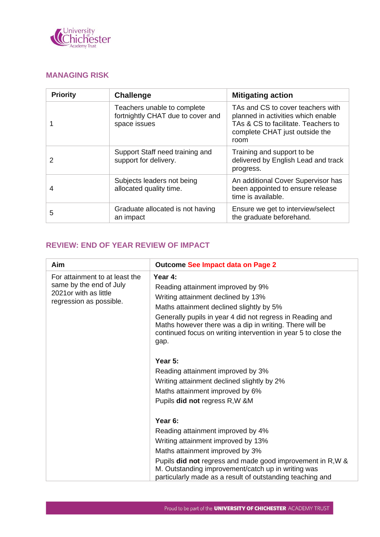

# **MANAGING RISK**

| <b>Priority</b> | <b>Challenge</b>                                                                 | <b>Mitigating action</b>                                                                                                                                 |
|-----------------|----------------------------------------------------------------------------------|----------------------------------------------------------------------------------------------------------------------------------------------------------|
|                 | Teachers unable to complete<br>fortnightly CHAT due to cover and<br>space issues | TAs and CS to cover teachers with<br>planned in activities which enable<br>TAs & CS to facilitate. Teachers to<br>complete CHAT just outside the<br>room |
| $\mathcal{P}$   | Support Staff need training and<br>support for delivery.                         | Training and support to be<br>delivered by English Lead and track<br>progress.                                                                           |
| 4               | Subjects leaders not being<br>allocated quality time.                            | An additional Cover Supervisor has<br>been appointed to ensure release<br>time is available.                                                             |
| 5               | Graduate allocated is not having<br>an impact                                    | Ensure we get to interview/select<br>the graduate beforehand.                                                                                            |

# **REVIEW: END OF YEAR REVIEW OF IMPACT**

| Aim                                                                                                            | <b>Outcome See Impact data on Page 2</b>                                                                                                                                                                                                                                                                                         |
|----------------------------------------------------------------------------------------------------------------|----------------------------------------------------------------------------------------------------------------------------------------------------------------------------------------------------------------------------------------------------------------------------------------------------------------------------------|
| For attainment to at least the<br>same by the end of July<br>2021 or with as little<br>regression as possible. | Year 4:<br>Reading attainment improved by 9%<br>Writing attainment declined by 13%<br>Maths attainment declined slightly by 5%<br>Generally pupils in year 4 did not regress in Reading and<br>Maths however there was a dip in writing. There will be<br>continued focus on writing intervention in year 5 to close the<br>gap. |
|                                                                                                                | Year 5:<br>Reading attainment improved by 3%<br>Writing attainment declined slightly by 2%<br>Maths attainment improved by 6%<br>Pupils did not regress R, W & M                                                                                                                                                                 |
|                                                                                                                | Year 6:<br>Reading attainment improved by 4%<br>Writing attainment improved by 13%<br>Maths attainment improved by 3%<br>Pupils did not regress and made good improvement in R, W &<br>M. Outstanding improvement/catch up in writing was<br>particularly made as a result of outstanding teaching and                           |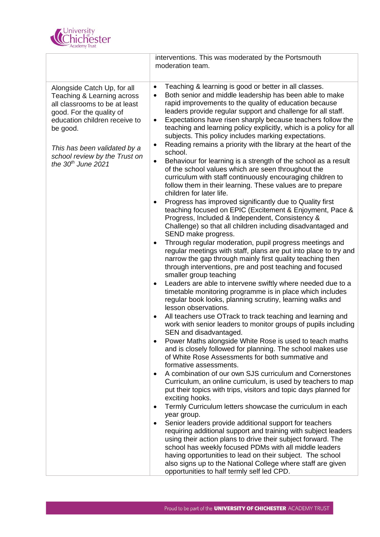

|                                                                                                                                                                     | interventions. This was moderated by the Portsmouth<br>moderation team.                                                                                                                                                                                                                                                                                                                                                |
|---------------------------------------------------------------------------------------------------------------------------------------------------------------------|------------------------------------------------------------------------------------------------------------------------------------------------------------------------------------------------------------------------------------------------------------------------------------------------------------------------------------------------------------------------------------------------------------------------|
| Alongside Catch Up, for all<br>Teaching & Learning across<br>all classrooms to be at least<br>good. For the quality of<br>education children receive to<br>be good. | Teaching & learning is good or better in all classes.<br>$\bullet$<br>Both senior and middle leadership has been able to make<br>$\bullet$<br>rapid improvements to the quality of education because<br>leaders provide regular support and challenge for all staff.<br>Expectations have risen sharply because teachers follow the<br>$\bullet$<br>teaching and learning policy explicitly, which is a policy for all |
| This has been validated by a                                                                                                                                        | subjects. This policy includes marking expectations.<br>Reading remains a priority with the library at the heart of the<br>$\bullet$<br>school.                                                                                                                                                                                                                                                                        |
| school review by the Trust on<br>the $30th$ June 2021                                                                                                               | Behaviour for learning is a strength of the school as a result<br>$\bullet$<br>of the school values which are seen throughout the<br>curriculum with staff continuously encouraging children to<br>follow them in their learning. These values are to prepare<br>children for later life.                                                                                                                              |
|                                                                                                                                                                     | Progress has improved significantly due to Quality first<br>$\bullet$<br>teaching focused on EPIC (Excitement & Enjoyment, Pace &<br>Progress, Included & Independent, Consistency &<br>Challenge) so that all children including disadvantaged and<br>SEND make progress.                                                                                                                                             |
|                                                                                                                                                                     | Through regular moderation, pupil progress meetings and<br>$\bullet$<br>regular meetings with staff, plans are put into place to try and<br>narrow the gap through mainly first quality teaching then<br>through interventions, pre and post teaching and focused<br>smaller group teaching                                                                                                                            |
|                                                                                                                                                                     | Leaders are able to intervene swiftly where needed due to a<br>$\bullet$<br>timetable monitoring programme is in place which includes<br>regular book looks, planning scrutiny, learning walks and<br>lesson observations.                                                                                                                                                                                             |
|                                                                                                                                                                     | All teachers use OTrack to track teaching and learning and<br>$\bullet$<br>work with senior leaders to monitor groups of pupils including<br>SEN and disadvantaged.                                                                                                                                                                                                                                                    |
|                                                                                                                                                                     | Power Maths alongside White Rose is used to teach maths<br>and is closely followed for planning. The school makes use<br>of White Rose Assessments for both summative and<br>formative assessments.                                                                                                                                                                                                                    |
|                                                                                                                                                                     | A combination of our own SJS curriculum and Cornerstones<br>Curriculum, an online curriculum, is used by teachers to map<br>put their topics with trips, visitors and topic days planned for<br>exciting hooks.                                                                                                                                                                                                        |
|                                                                                                                                                                     | Termly Curriculum letters showcase the curriculum in each<br>$\bullet$<br>year group.<br>Senior leaders provide additional support for teachers<br>$\bullet$                                                                                                                                                                                                                                                           |
|                                                                                                                                                                     | requiring additional support and training with subject leaders<br>using their action plans to drive their subject forward. The<br>school has weekly focused PDMs with all middle leaders<br>having opportunities to lead on their subject. The school<br>also signs up to the National College where staff are given<br>opportunities to half termly self led CPD.                                                     |